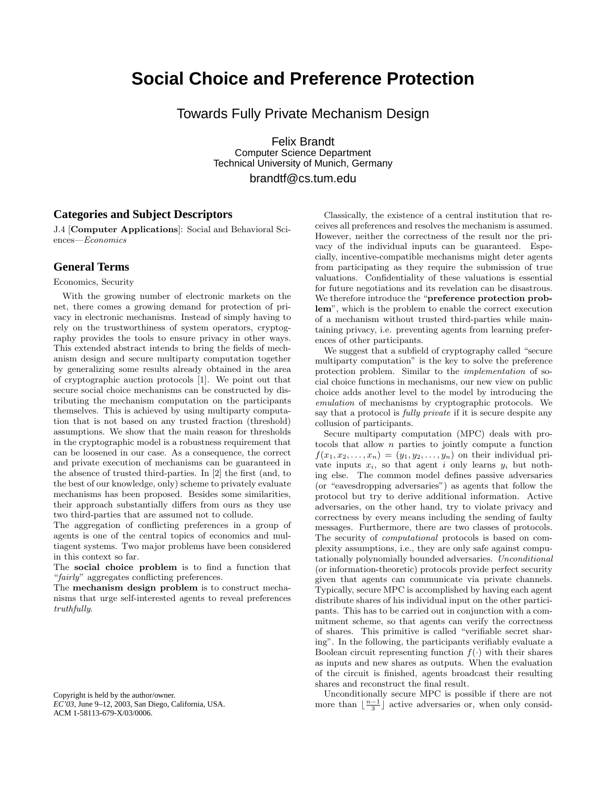## **Social Choice and Preference Protection**

Towards Fully Private Mechanism Design

Felix Brandt Computer Science Department Technical University of Munich, Germany

brandtf@cs.tum.edu

## **Categories and Subject Descriptors**

J.4 [Computer Applications]: Social and Behavioral Sciences—Economics

## **General Terms**

Economics, Security

With the growing number of electronic markets on the net, there comes a growing demand for protection of privacy in electronic mechanisms. Instead of simply having to rely on the trustworthiness of system operators, cryptography provides the tools to ensure privacy in other ways. This extended abstract intends to bring the fields of mechanism design and secure multiparty computation together by generalizing some results already obtained in the area of cryptographic auction protocols [1]. We point out that secure social choice mechanisms can be constructed by distributing the mechanism computation on the participants themselves. This is achieved by using multiparty computation that is not based on any trusted fraction (threshold) assumptions. We show that the main reason for thresholds in the cryptographic model is a robustness requirement that can be loosened in our case. As a consequence, the correct and private execution of mechanisms can be guaranteed in the absence of trusted third-parties. In [2] the first (and, to the best of our knowledge, only) scheme to privately evaluate mechanisms has been proposed. Besides some similarities, their approach substantially differs from ours as they use two third-parties that are assumed not to collude.

The aggregation of conflicting preferences in a group of agents is one of the central topics of economics and multiagent systems. Two major problems have been considered in this context so far.

The social choice problem is to find a function that "fairly" aggregates conflicting preferences.

The mechanism design problem is to construct mechanisms that urge self-interested agents to reveal preferences truthfully.

Copyright is held by the author/owner. *EC'03,* June 9–12, 2003, San Diego, California, USA. ACM 1-58113-679-X/03/0006.

Classically, the existence of a central institution that receives all preferences and resolves the mechanism is assumed. However, neither the correctness of the result nor the privacy of the individual inputs can be guaranteed. Especially, incentive-compatible mechanisms might deter agents from participating as they require the submission of true valuations. Confidentiality of these valuations is essential for future negotiations and its revelation can be disastrous. We therefore introduce the "preference protection problem", which is the problem to enable the correct execution of a mechanism without trusted third-parties while maintaining privacy, i.e. preventing agents from learning preferences of other participants.

We suggest that a subfield of cryptography called "secure multiparty computation" is the key to solve the preference protection problem. Similar to the implementation of social choice functions in mechanisms, our new view on public choice adds another level to the model by introducing the emulation of mechanisms by cryptographic protocols. We say that a protocol is fully private if it is secure despite any collusion of participants.

Secure multiparty computation (MPC) deals with protocols that allow  $n$  parties to jointly compute a function  $f(x_1, x_2, \ldots, x_n) = (y_1, y_2, \ldots, y_n)$  on their individual private inputs  $x_i$ , so that agent i only learns  $y_i$  but nothing else. The common model defines passive adversaries (or "eavesdropping adversaries") as agents that follow the protocol but try to derive additional information. Active adversaries, on the other hand, try to violate privacy and correctness by every means including the sending of faulty messages. Furthermore, there are two classes of protocols. The security of computational protocols is based on complexity assumptions, i.e., they are only safe against computationally polynomially bounded adversaries. Unconditional (or information-theoretic) protocols provide perfect security given that agents can communicate via private channels. Typically, secure MPC is accomplished by having each agent distribute shares of his individual input on the other participants. This has to be carried out in conjunction with a commitment scheme, so that agents can verify the correctness of shares. This primitive is called "verifiable secret sharing". In the following, the participants verifiably evaluate a Boolean circuit representing function  $f(\cdot)$  with their shares as inputs and new shares as outputs. When the evaluation of the circuit is finished, agents broadcast their resulting shares and reconstruct the final result.

Unconditionally secure MPC is possible if there are not more than  $\lfloor \frac{n-1}{3} \rfloor$  active adversaries or, when only consid-